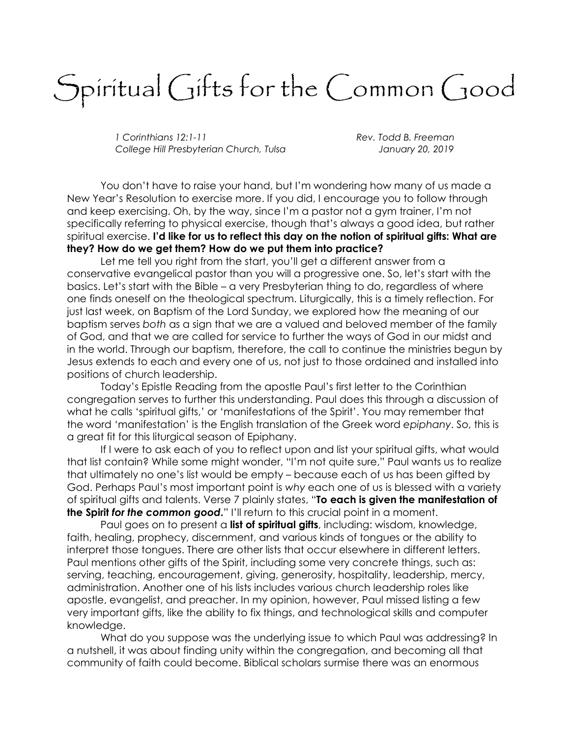## Spiritual Gifts for the Common Good

1 Corinthians 12:1-11 Corinter and B. Freeman College Hill Presbyterian Church, Tulsa January 20, 2019

 You don't have to raise your hand, but I'm wondering how many of us made a New Year's Resolution to exercise more. If you did, I encourage you to follow through and keep exercising. Oh, by the way, since I'm a pastor not a gym trainer, I'm not specifically referring to physical exercise, though that's always a good idea, but rather spiritual exercise. I'd like for us to reflect this day on the notion of spiritual gifts: What are they? How do we get them? How do we put them into practice?

 Let me tell you right from the start, you'll get a different answer from a conservative evangelical pastor than you will a progressive one. So, let's start with the basics. Let's start with the Bible – a very Presbyterian thing to do, regardless of where one finds oneself on the theological spectrum. Liturgically, this is a timely reflection. For just last week, on Baptism of the Lord Sunday, we explored how the meaning of our baptism serves both as a sign that we are a valued and beloved member of the family of God, and that we are called for service to further the ways of God in our midst and in the world. Through our baptism, therefore, the call to continue the ministries begun by Jesus extends to each and every one of us, not just to those ordained and installed into positions of church leadership.

 Today's Epistle Reading from the apostle Paul's first letter to the Corinthian congregation serves to further this understanding. Paul does this through a discussion of what he calls 'spiritual gifts,' or 'manifestations of the Spirit'. You may remember that the word 'manifestation' is the English translation of the Greek word epiphany. So, this is a great fit for this liturgical season of Epiphany.

 If I were to ask each of you to reflect upon and list your spiritual gifts, what would that list contain? While some might wonder, "I'm not quite sure," Paul wants us to realize that ultimately no one's list would be empty – because each of us has been gifted by God. Perhaps Paul's most important point is why each one of us is blessed with a variety of spiritual gifts and talents. Verse 7 plainly states, "To each is given the manifestation of the Spirit for the common good." I'll return to this crucial point in a moment.

Paul goes on to present a **list of spiritual gifts**, including: wisdom, knowledge, faith, healing, prophecy, discernment, and various kinds of tongues or the ability to interpret those tongues. There are other lists that occur elsewhere in different letters. Paul mentions other gifts of the Spirit, including some very concrete things, such as: serving, teaching, encouragement, giving, generosity, hospitality, leadership, mercy, administration. Another one of his lists includes various church leadership roles like apostle, evangelist, and preacher. In my opinion, however, Paul missed listing a few very important gifts, like the ability to fix things, and technological skills and computer knowledge.

 What do you suppose was the underlying issue to which Paul was addressing? In a nutshell, it was about finding unity within the congregation, and becoming all that community of faith could become. Biblical scholars surmise there was an enormous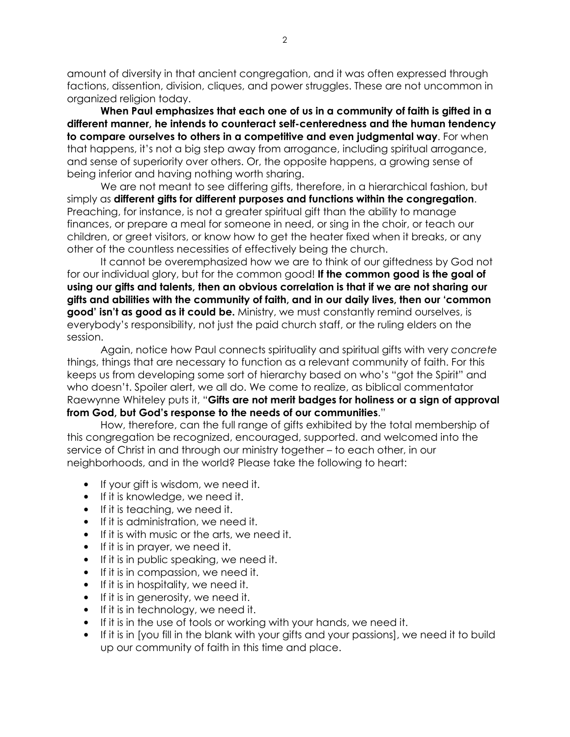amount of diversity in that ancient congregation, and it was often expressed through factions, dissention, division, cliques, and power struggles. These are not uncommon in organized religion today.

When Paul emphasizes that each one of us in a community of faith is gifted in a different manner, he intends to counteract self-centeredness and the human tendency to compare ourselves to others in a competitive and even judgmental way. For when that happens, it's not a big step away from arrogance, including spiritual arrogance, and sense of superiority over others. Or, the opposite happens, a growing sense of being inferior and having nothing worth sharing.

 We are not meant to see differing gifts, therefore, in a hierarchical fashion, but simply as different gifts for different purposes and functions within the congregation. Preaching, for instance, is not a greater spiritual gift than the ability to manage finances, or prepare a meal for someone in need, or sing in the choir, or teach our children, or greet visitors, or know how to get the heater fixed when it breaks, or any other of the countless necessities of effectively being the church.

 It cannot be overemphasized how we are to think of our giftedness by God not for our individual glory, but for the common good! If the common good is the goal of using our gifts and talents, then an obvious correlation is that if we are not sharing our gifts and abilities with the community of faith, and in our daily lives, then our 'common **good' isn't as good as it could be.** Ministry, we must constantly remind ourselves, is everybody's responsibility, not just the paid church staff, or the ruling elders on the session.

 Again, notice how Paul connects spirituality and spiritual gifts with very concrete things, things that are necessary to function as a relevant community of faith. For this keeps us from developing some sort of hierarchy based on who's "got the Spirit" and who doesn't. Spoiler alert, we all do. We come to realize, as biblical commentator Raewynne Whiteley puts it, "Gifts are not merit badges for holiness or a sign of approval from God, but God's response to the needs of our communities."

 How, therefore, can the full range of gifts exhibited by the total membership of this congregation be recognized, encouraged, supported. and welcomed into the service of Christ in and through our ministry together – to each other, in our neighborhoods, and in the world? Please take the following to heart:

- If your gift is wisdom, we need it.
- If it is knowledge, we need it.
- If it is teaching, we need it.
- If it is administration, we need it.
- If it is with music or the arts, we need it.
- If it is in prayer, we need it.
- If it is in public speaking, we need it.
- If it is in compassion, we need it.
- If it is in hospitality, we need it.
- If it is in generosity, we need it.
- If it is in technology, we need it.
- If it is in the use of tools or working with your hands, we need it.
- If it is in [you fill in the blank with your gifts and your passions], we need it to build up our community of faith in this time and place.